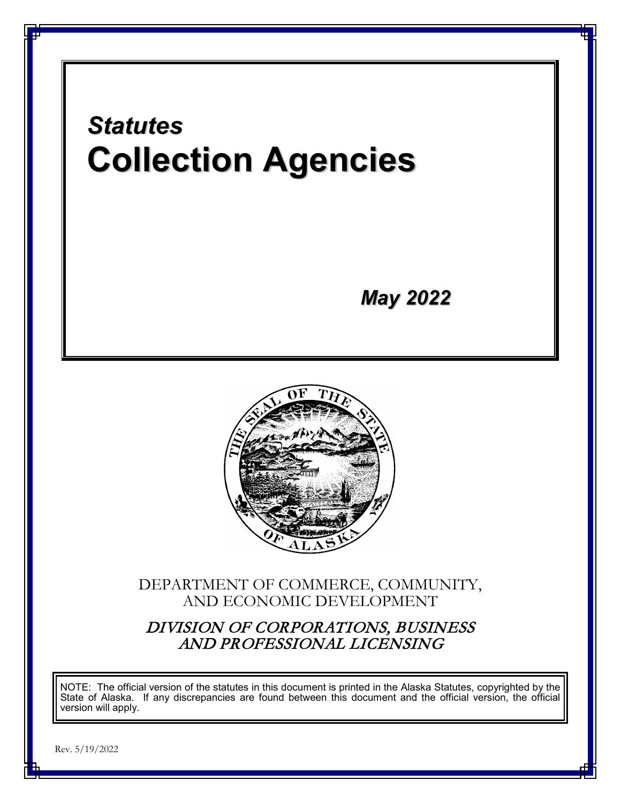

Rev. 5/19/2022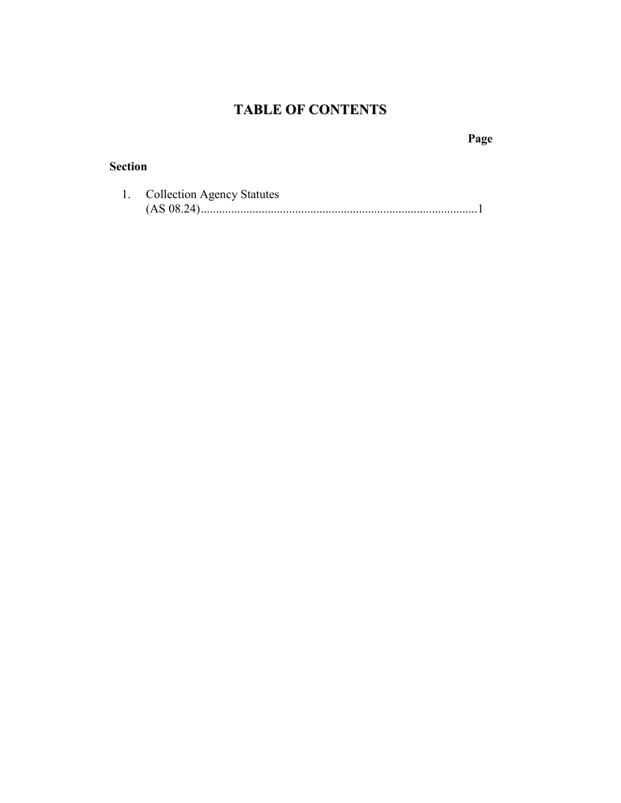# **TABLE OF CONTENTS**

**Page**

## **Section**

| <b>Collection Agency Statutes</b> |
|-----------------------------------|
|                                   |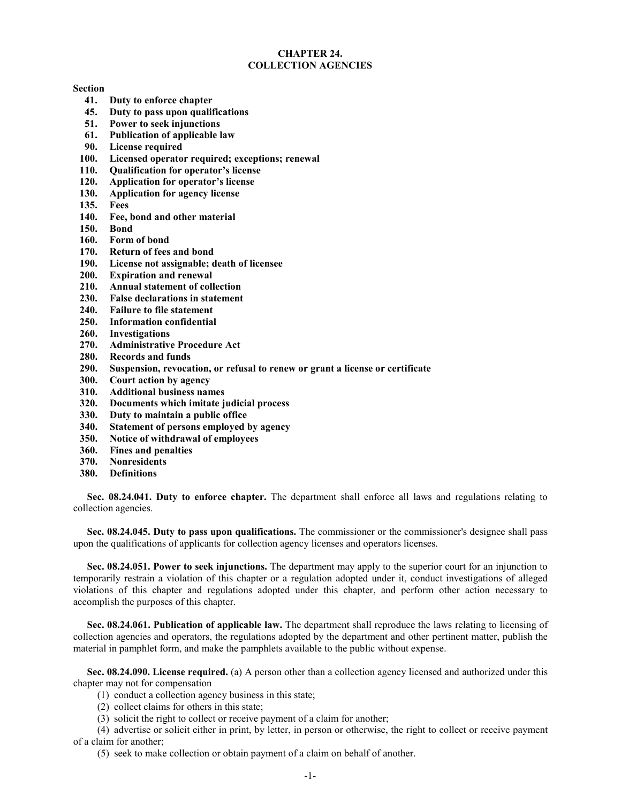### **CHAPTER 24. COLLECTION AGENCIES**

#### **Section**

- **41. Duty to enforce chapter**
- **45. Duty to pass upon qualifications**
- **51. Power to seek injunctions**
- **61. Publication of applicable law**
- **90. License required**
- **100. Licensed operator required; exceptions; renewal**
- **110. Qualification for operator's license**
- **120. Application for operator's license**
- **130. Application for agency license**
- **135. Fees**
- **140. Fee, bond and other material**
- **150. Bond**
- **160. Form of bond**
- **170. Return of fees and bond**
- **190. License not assignable; death of licensee**
- **200. Expiration and renewal**
- **210. Annual statement of collection**
- **230. False declarations in statement**
- **240. Failure to file statement**
- **250. Information confidential**
- **260. Investigations**
- **270. Administrative Procedure Act**
- **280. Records and funds**
- **290. Suspension, revocation, or refusal to renew or grant a license or certificate**
- **300. Court action by agency**
- **310. Additional business names**
- **320. Documents which imitate judicial process**
- **330. Duty to maintain a public office**
- **340. Statement of persons employed by agency**
- **350. Notice of withdrawal of employees**
- **360. Fines and penalties**
- **370. Nonresidents**
- **380. Definitions**

**Sec. 08.24.041. Duty to enforce chapter.** The department shall enforce all laws and regulations relating to collection agencies.

**Sec. 08.24.045. Duty to pass upon qualifications.** The commissioner or the commissioner's designee shall pass upon the qualifications of applicants for collection agency licenses and operators licenses.

**Sec. 08.24.051. Power to seek injunctions.** The department may apply to the superior court for an injunction to temporarily restrain a violation of this chapter or a regulation adopted under it, conduct investigations of alleged violations of this chapter and regulations adopted under this chapter, and perform other action necessary to accomplish the purposes of this chapter.

**Sec. 08.24.061. Publication of applicable law.** The department shall reproduce the laws relating to licensing of collection agencies and operators, the regulations adopted by the department and other pertinent matter, publish the material in pamphlet form, and make the pamphlets available to the public without expense.

**Sec. 08.24.090. License required.** (a) A person other than a collection agency licensed and authorized under this chapter may not for compensation

- (1) conduct a collection agency business in this state;
- (2) collect claims for others in this state;
- (3) solicit the right to collect or receive payment of a claim for another;

(4) advertise or solicit either in print, by letter, in person or otherwise, the right to collect or receive payment of a claim for another;

(5) seek to make collection or obtain payment of a claim on behalf of another.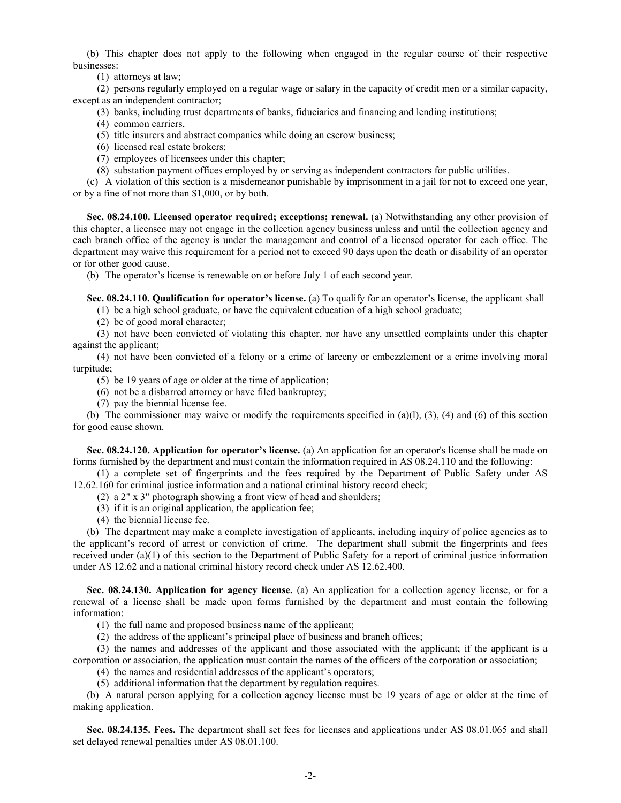(b) This chapter does not apply to the following when engaged in the regular course of their respective businesses:

(1) attorneys at law;

(2) persons regularly employed on a regular wage or salary in the capacity of credit men or a similar capacity, except as an independent contractor;

- (3) banks, including trust departments of banks, fiduciaries and financing and lending institutions;
- (4) common carriers,
- (5) title insurers and abstract companies while doing an escrow business;
- (6) licensed real estate brokers;
- (7) employees of licensees under this chapter;
- (8) substation payment offices employed by or serving as independent contractors for public utilities.

(c) A violation of this section is a misdemeanor punishable by imprisonment in a jail for not to exceed one year, or by a fine of not more than \$1,000, or by both.

**Sec. 08.24.100. Licensed operator required; exceptions; renewal.** (a) Notwithstanding any other provision of this chapter, a licensee may not engage in the collection agency business unless and until the collection agency and each branch office of the agency is under the management and control of a licensed operator for each office. The department may waive this requirement for a period not to exceed 90 days upon the death or disability of an operator or for other good cause.

(b) The operator's license is renewable on or before July 1 of each second year.

**Sec. 08.24.110. Qualification for operator's license.** (a) To qualify for an operator's license, the applicant shall

(1) be a high school graduate, or have the equivalent education of a high school graduate;

(2) be of good moral character;

(3) not have been convicted of violating this chapter, nor have any unsettled complaints under this chapter against the applicant;

(4) not have been convicted of a felony or a crime of larceny or embezzlement or a crime involving moral turpitude;

(5) be 19 years of age or older at the time of application;

(6) not be a disbarred attorney or have filed bankruptcy;

(7) pay the biennial license fee.

(b) The commissioner may waive or modify the requirements specified in  $(a)(l)$ ,  $(3)$ ,  $(4)$  and  $(6)$  of this section for good cause shown.

**Sec. 08.24.120. Application for operator's license.** (a) An application for an operator's license shall be made on forms furnished by the department and must contain the information required in AS 08.24.110 and the following:

(1) a complete set of fingerprints and the fees required by the Department of Public Safety under AS 12.62.160 for criminal justice information and a national criminal history record check;

- (2) a 2" x 3" photograph showing a front view of head and shoulders;
- (3) if it is an original application, the application fee;
- (4) the biennial license fee.

(b) The department may make a complete investigation of applicants, including inquiry of police agencies as to the applicant's record of arrest or conviction of crime. The department shall submit the fingerprints and fees received under (a)(1) of this section to the Department of Public Safety for a report of criminal justice information under AS 12.62 and a national criminal history record check under AS 12.62.400.

**Sec. 08.24.130. Application for agency license.** (a) An application for a collection agency license, or for a renewal of a license shall be made upon forms furnished by the department and must contain the following information:

- (1) the full name and proposed business name of the applicant;
- (2) the address of the applicant's principal place of business and branch offices;

(3) the names and addresses of the applicant and those associated with the applicant; if the applicant is a corporation or association, the application must contain the names of the officers of the corporation or association;

- (4) the names and residential addresses of the applicant's operators;
- (5) additional information that the department by regulation requires.

(b) A natural person applying for a collection agency license must be 19 years of age or older at the time of making application.

**Sec. 08.24.135. Fees.** The department shall set fees for licenses and applications under AS 08.01.065 and shall set delayed renewal penalties under AS 08.01.100.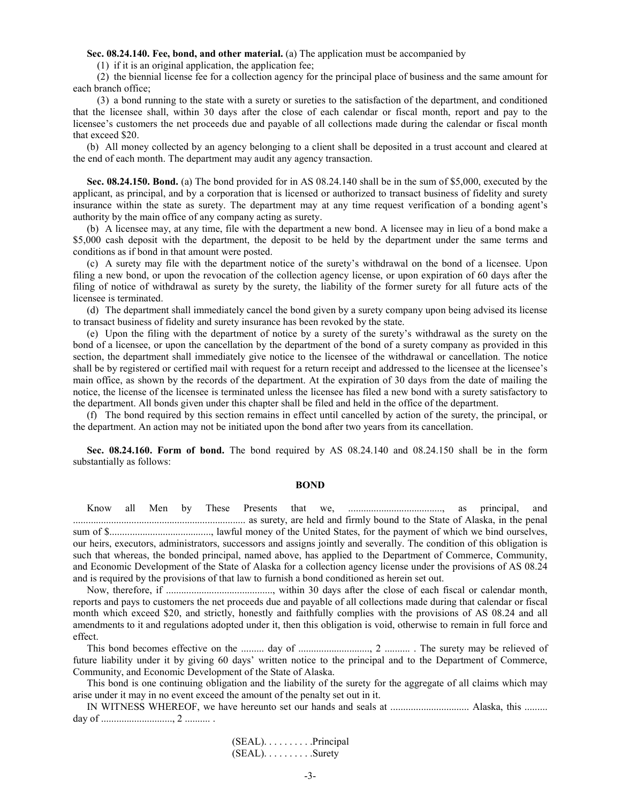**Sec. 08.24.140. Fee, bond, and other material.** (a) The application must be accompanied by

(1) if it is an original application, the application fee;

(2) the biennial license fee for a collection agency for the principal place of business and the same amount for each branch office;

(3) a bond running to the state with a surety or sureties to the satisfaction of the department, and conditioned that the licensee shall, within 30 days after the close of each calendar or fiscal month, report and pay to the licensee's customers the net proceeds due and payable of all collections made during the calendar or fiscal month that exceed \$20.

(b) All money collected by an agency belonging to a client shall be deposited in a trust account and cleared at the end of each month. The department may audit any agency transaction.

**Sec. 08.24.150. Bond.** (a) The bond provided for in AS 08.24.140 shall be in the sum of \$5,000, executed by the applicant, as principal, and by a corporation that is licensed or authorized to transact business of fidelity and surety insurance within the state as surety. The department may at any time request verification of a bonding agent's authority by the main office of any company acting as surety.

(b) A licensee may, at any time, file with the department a new bond. A licensee may in lieu of a bond make a \$5,000 cash deposit with the department, the deposit to be held by the department under the same terms and conditions as if bond in that amount were posted.

(c) A surety may file with the department notice of the surety's withdrawal on the bond of a licensee. Upon filing a new bond, or upon the revocation of the collection agency license, or upon expiration of 60 days after the filing of notice of withdrawal as surety by the surety, the liability of the former surety for all future acts of the licensee is terminated.

(d) The department shall immediately cancel the bond given by a surety company upon being advised its license to transact business of fidelity and surety insurance has been revoked by the state.

(e) Upon the filing with the department of notice by a surety of the surety's withdrawal as the surety on the bond of a licensee, or upon the cancellation by the department of the bond of a surety company as provided in this section, the department shall immediately give notice to the licensee of the withdrawal or cancellation. The notice shall be by registered or certified mail with request for a return receipt and addressed to the licensee at the licensee's main office, as shown by the records of the department. At the expiration of 30 days from the date of mailing the notice, the license of the licensee is terminated unless the licensee has filed a new bond with a surety satisfactory to the department. All bonds given under this chapter shall be filed and held in the office of the department.

(f) The bond required by this section remains in effect until cancelled by action of the surety, the principal, or the department. An action may not be initiated upon the bond after two years from its cancellation.

**Sec. 08.24.160. Form of bond.** The bond required by AS 08.24.140 and 08.24.150 shall be in the form substantially as follows:

#### **BOND**

Know all Men by These Presents that we, ....................................., as principal, and .................................................................... as surety, are held and firmly bound to the State of Alaska, in the penal sum of \$........................................, lawful money of the United States, for the payment of which we bind ourselves, our heirs, executors, administrators, successors and assigns jointly and severally. The condition of this obligation is such that whereas, the bonded principal, named above, has applied to the Department of Commerce, Community, and Economic Development of the State of Alaska for a collection agency license under the provisions of AS 08.24 and is required by the provisions of that law to furnish a bond conditioned as herein set out.

Now, therefore, if .........................................., within 30 days after the close of each fiscal or calendar month, reports and pays to customers the net proceeds due and payable of all collections made during that calendar or fiscal month which exceed \$20, and strictly, honestly and faithfully complies with the provisions of AS 08.24 and all amendments to it and regulations adopted under it, then this obligation is void, otherwise to remain in full force and effect.

This bond becomes effective on the ......... day of ............................, 2 .......... . The surety may be relieved of future liability under it by giving 60 days' written notice to the principal and to the Department of Commerce, Community, and Economic Development of the State of Alaska.

This bond is one continuing obligation and the liability of the surety for the aggregate of all claims which may arise under it may in no event exceed the amount of the penalty set out in it.

IN WITNESS WHEREOF, we have hereunto set our hands and seals at ............................... Alaska, this ......... day of ............................, 2 .......... .

> (SEAL). . . . . . . . . .Principal (SEAL). . . . . . . . . .Surety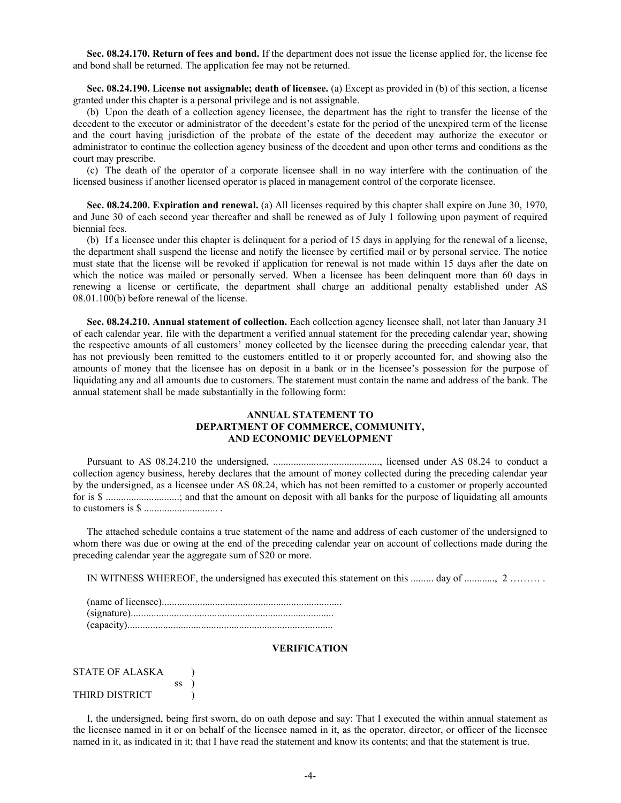**Sec. 08.24.170. Return of fees and bond.** If the department does not issue the license applied for, the license fee and bond shall be returned. The application fee may not be returned.

**Sec. 08.24.190. License not assignable; death of licensee.** (a) Except as provided in (b) of this section, a license granted under this chapter is a personal privilege and is not assignable.

(b) Upon the death of a collection agency licensee, the department has the right to transfer the license of the decedent to the executor or administrator of the decedent's estate for the period of the unexpired term of the license and the court having jurisdiction of the probate of the estate of the decedent may authorize the executor or administrator to continue the collection agency business of the decedent and upon other terms and conditions as the court may prescribe.

(c) The death of the operator of a corporate licensee shall in no way interfere with the continuation of the licensed business if another licensed operator is placed in management control of the corporate licensee.

**Sec. 08.24.200. Expiration and renewal.** (a) All licenses required by this chapter shall expire on June 30, 1970, and June 30 of each second year thereafter and shall be renewed as of July 1 following upon payment of required biennial fees.

(b) If a licensee under this chapter is delinquent for a period of 15 days in applying for the renewal of a license, the department shall suspend the license and notify the licensee by certified mail or by personal service. The notice must state that the license will be revoked if application for renewal is not made within 15 days after the date on which the notice was mailed or personally served. When a licensee has been delinquent more than 60 days in renewing a license or certificate, the department shall charge an additional penalty established under AS 08.01.100(b) before renewal of the license.

**Sec. 08.24.210. Annual statement of collection.** Each collection agency licensee shall, not later than January 31 of each calendar year, file with the department a verified annual statement for the preceding calendar year, showing the respective amounts of all customers' money collected by the licensee during the preceding calendar year, that has not previously been remitted to the customers entitled to it or properly accounted for, and showing also the amounts of money that the licensee has on deposit in a bank or in the licensee's possession for the purpose of liquidating any and all amounts due to customers. The statement must contain the name and address of the bank. The annual statement shall be made substantially in the following form:

### **ANNUAL STATEMENT TO DEPARTMENT OF COMMERCE, COMMUNITY, AND ECONOMIC DEVELOPMENT**

Pursuant to AS 08.24.210 the undersigned, .........................................., licensed under AS 08.24 to conduct a collection agency business, hereby declares that the amount of money collected during the preceding calendar year by the undersigned, as a licensee under AS 08.24, which has not been remitted to a customer or properly accounted for is \$ .............................; and that the amount on deposit with all banks for the purpose of liquidating all amounts to customers is \$ ............................. .

The attached schedule contains a true statement of the name and address of each customer of the undersigned to whom there was due or owing at the end of the preceding calendar year on account of collections made during the preceding calendar year the aggregate sum of \$20 or more.

IN WITNESS WHEREOF, the undersigned has executed this statement on this ......... day of ............, 2 ……… .

#### **VERIFICATION**

| STATE OF ALASKA |    |  |
|-----------------|----|--|
|                 | SS |  |
| THIRD DISTRICT  |    |  |

I, the undersigned, being first sworn, do on oath depose and say: That I executed the within annual statement as the licensee named in it or on behalf of the licensee named in it, as the operator, director, or officer of the licensee named in it, as indicated in it; that I have read the statement and know its contents; and that the statement is true.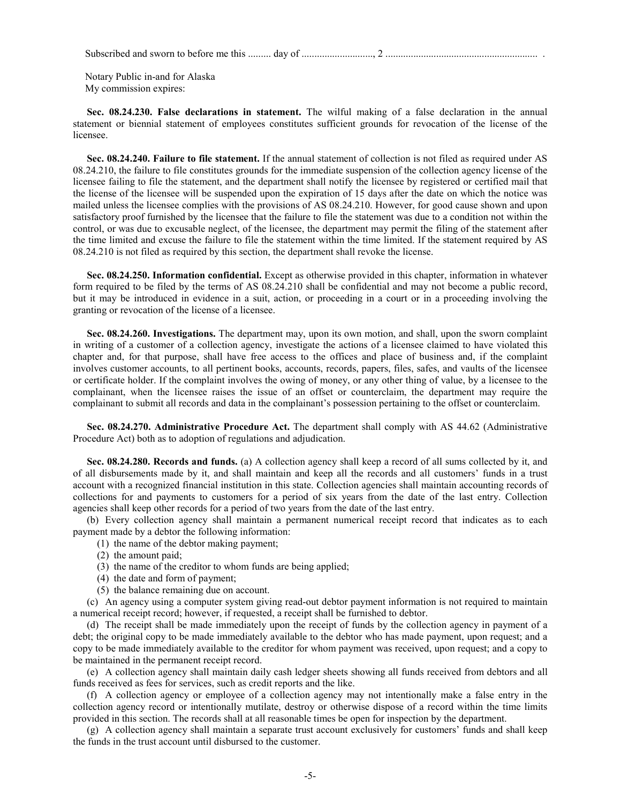Subscribed and sworn to before me this ......... day of ............................, 2 ............................................................ .

Notary Public in-and for Alaska My commission expires:

**Sec. 08.24.230. False declarations in statement.** The wilful making of a false declaration in the annual statement or biennial statement of employees constitutes sufficient grounds for revocation of the license of the licensee.

**Sec. 08.24.240. Failure to file statement.** If the annual statement of collection is not filed as required under AS 08.24.210, the failure to file constitutes grounds for the immediate suspension of the collection agency license of the licensee failing to file the statement, and the department shall notify the licensee by registered or certified mail that the license of the licensee will be suspended upon the expiration of 15 days after the date on which the notice was mailed unless the licensee complies with the provisions of AS 08.24.210. However, for good cause shown and upon satisfactory proof furnished by the licensee that the failure to file the statement was due to a condition not within the control, or was due to excusable neglect, of the licensee, the department may permit the filing of the statement after the time limited and excuse the failure to file the statement within the time limited. If the statement required by AS 08.24.210 is not filed as required by this section, the department shall revoke the license.

**Sec. 08.24.250. Information confidential.** Except as otherwise provided in this chapter, information in whatever form required to be filed by the terms of AS 08.24.210 shall be confidential and may not become a public record, but it may be introduced in evidence in a suit, action, or proceeding in a court or in a proceeding involving the granting or revocation of the license of a licensee.

**Sec. 08.24.260. Investigations.** The department may, upon its own motion, and shall, upon the sworn complaint in writing of a customer of a collection agency, investigate the actions of a licensee claimed to have violated this chapter and, for that purpose, shall have free access to the offices and place of business and, if the complaint involves customer accounts, to all pertinent books, accounts, records, papers, files, safes, and vaults of the licensee or certificate holder. If the complaint involves the owing of money, or any other thing of value, by a licensee to the complainant, when the licensee raises the issue of an offset or counterclaim, the department may require the complainant to submit all records and data in the complainant's possession pertaining to the offset or counterclaim.

**Sec. 08.24.270. Administrative Procedure Act.** The department shall comply with AS 44.62 (Administrative Procedure Act) both as to adoption of regulations and adjudication.

**Sec. 08.24.280. Records and funds.** (a) A collection agency shall keep a record of all sums collected by it, and of all disbursements made by it, and shall maintain and keep all the records and all customers' funds in a trust account with a recognized financial institution in this state. Collection agencies shall maintain accounting records of collections for and payments to customers for a period of six years from the date of the last entry. Collection agencies shall keep other records for a period of two years from the date of the last entry.

(b) Every collection agency shall maintain a permanent numerical receipt record that indicates as to each payment made by a debtor the following information:

- (1) the name of the debtor making payment;
- (2) the amount paid;
- (3) the name of the creditor to whom funds are being applied;
- (4) the date and form of payment;
- (5) the balance remaining due on account.

(c) An agency using a computer system giving read-out debtor payment information is not required to maintain a numerical receipt record; however, if requested, a receipt shall be furnished to debtor.

(d) The receipt shall be made immediately upon the receipt of funds by the collection agency in payment of a debt; the original copy to be made immediately available to the debtor who has made payment, upon request; and a copy to be made immediately available to the creditor for whom payment was received, upon request; and a copy to be maintained in the permanent receipt record.

(e) A collection agency shall maintain daily cash ledger sheets showing all funds received from debtors and all funds received as fees for services, such as credit reports and the like.

(f) A collection agency or employee of a collection agency may not intentionally make a false entry in the collection agency record or intentionally mutilate, destroy or otherwise dispose of a record within the time limits provided in this section. The records shall at all reasonable times be open for inspection by the department.

(g) A collection agency shall maintain a separate trust account exclusively for customers' funds and shall keep the funds in the trust account until disbursed to the customer.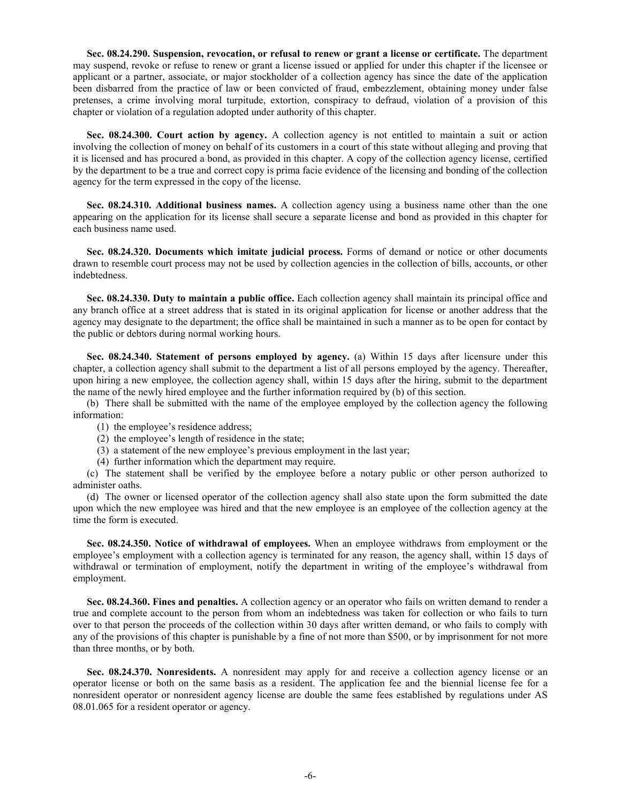**Sec. 08.24.290. Suspension, revocation, or refusal to renew or grant a license or certificate.** The department may suspend, revoke or refuse to renew or grant a license issued or applied for under this chapter if the licensee or applicant or a partner, associate, or major stockholder of a collection agency has since the date of the application been disbarred from the practice of law or been convicted of fraud, embezzlement, obtaining money under false pretenses, a crime involving moral turpitude, extortion, conspiracy to defraud, violation of a provision of this chapter or violation of a regulation adopted under authority of this chapter.

**Sec. 08.24.300. Court action by agency.** A collection agency is not entitled to maintain a suit or action involving the collection of money on behalf of its customers in a court of this state without alleging and proving that it is licensed and has procured a bond, as provided in this chapter. A copy of the collection agency license, certified by the department to be a true and correct copy is prima facie evidence of the licensing and bonding of the collection agency for the term expressed in the copy of the license.

**Sec. 08.24.310. Additional business names.** A collection agency using a business name other than the one appearing on the application for its license shall secure a separate license and bond as provided in this chapter for each business name used.

**Sec. 08.24.320. Documents which imitate judicial process.** Forms of demand or notice or other documents drawn to resemble court process may not be used by collection agencies in the collection of bills, accounts, or other indebtedness.

**Sec. 08.24.330. Duty to maintain a public office.** Each collection agency shall maintain its principal office and any branch office at a street address that is stated in its original application for license or another address that the agency may designate to the department; the office shall be maintained in such a manner as to be open for contact by the public or debtors during normal working hours.

**Sec. 08.24.340. Statement of persons employed by agency.** (a) Within 15 days after licensure under this chapter, a collection agency shall submit to the department a list of all persons employed by the agency. Thereafter, upon hiring a new employee, the collection agency shall, within 15 days after the hiring, submit to the department the name of the newly hired employee and the further information required by (b) of this section.

(b) There shall be submitted with the name of the employee employed by the collection agency the following information:

- (1) the employee's residence address;
- (2) the employee's length of residence in the state;
- (3) a statement of the new employee's previous employment in the last year;
- (4) further information which the department may require.

(c) The statement shall be verified by the employee before a notary public or other person authorized to administer oaths.

(d) The owner or licensed operator of the collection agency shall also state upon the form submitted the date upon which the new employee was hired and that the new employee is an employee of the collection agency at the time the form is executed.

**Sec. 08.24.350. Notice of withdrawal of employees.** When an employee withdraws from employment or the employee's employment with a collection agency is terminated for any reason, the agency shall, within 15 days of withdrawal or termination of employment, notify the department in writing of the employee's withdrawal from employment.

**Sec. 08.24.360. Fines and penalties.** A collection agency or an operator who fails on written demand to render a true and complete account to the person from whom an indebtedness was taken for collection or who fails to turn over to that person the proceeds of the collection within 30 days after written demand, or who fails to comply with any of the provisions of this chapter is punishable by a fine of not more than \$500, or by imprisonment for not more than three months, or by both.

**Sec. 08.24.370. Nonresidents.** A nonresident may apply for and receive a collection agency license or an operator license or both on the same basis as a resident. The application fee and the biennial license fee for a nonresident operator or nonresident agency license are double the same fees established by regulations under AS 08.01.065 for a resident operator or agency.